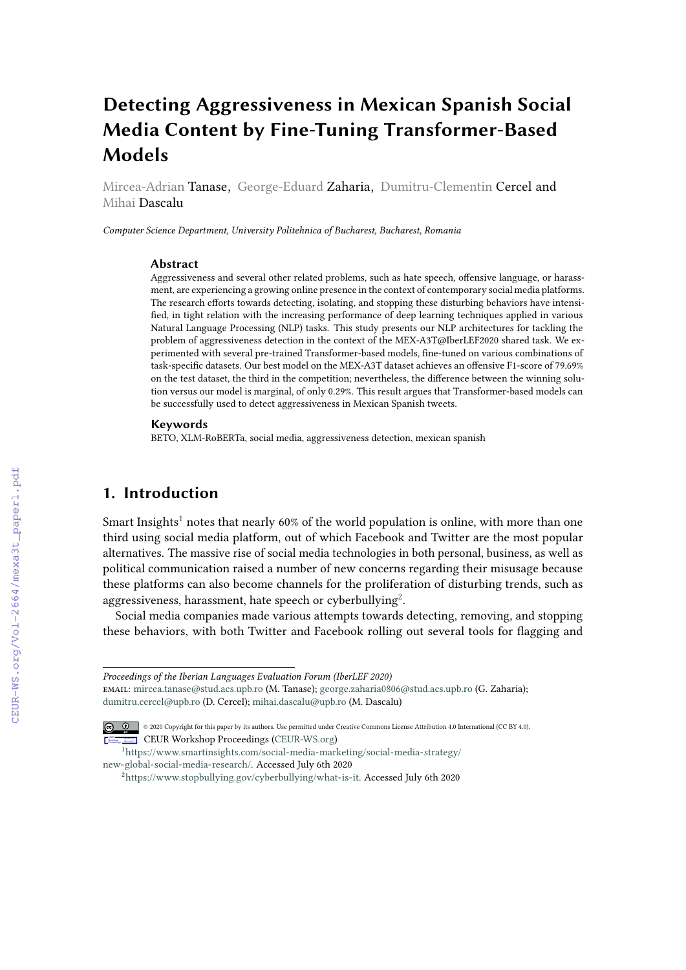# **Detecting Aggressiveness in Mexican Spanish Social Media Content by Fine-Tuning Transformer-Based Models**

Mircea-Adrian Tanase, George-Eduard Zaharia, Dumitru-Clementin Cercel and Mihai Dascalu

*Computer Science Department, University Politehnica of Bucharest, Bucharest, Romania*

#### **Abstract**

Aggressiveness and several other related problems, such as hate speech, offensive language, or harassment, are experiencing a growing online presence in the context of contemporary social media platforms. The research efforts towards detecting, isolating, and stopping these disturbing behaviors have intensified, in tight relation with the increasing performance of deep learning techniques applied in various Natural Language Processing (NLP) tasks. This study presents our NLP architectures for tackling the problem of aggressiveness detection in the context of the MEX-A3T@IberLEF2020 shared task. We experimented with several pre-trained Transformer-based models, fine-tuned on various combinations of task-specific datasets. Our best model on the MEX-A3T dataset achieves an offensive F1-score of 79.69% on the test dataset, the third in the competition; nevertheless, the difference between the winning solution versus our model is marginal, of only 0.29%. This result argues that Transformer-based models can be successfully used to detect aggressiveness in Mexican Spanish tweets.

#### **Keywords**

BETO, XLM-RoBERTa, social media, aggressiveness detection, mexican spanish

# **1. Introduction**

Smart Insights<sup>[1](#page-0-0)</sup> notes that nearly 60% of the world population is online, with more than one third using social media platform, out of which Facebook and Twitter are the most popular alternatives. The massive rise of social media technologies in both personal, business, as well as political communication raised a number of new concerns regarding their misusage because these platforms can also become channels for the proliferation of disturbing trends, such as aggressiveness, harassment, hate speech or cyberbullying $^2$  $^2$ .

Social media companies made various attempts towards detecting, removing, and stopping these behaviors, with both Twitter and Facebook rolling out several tools for flagging and

*Proceedings of the Iberian Languages Evaluation Forum (IberLEF 2020)*

email: [mircea.tanase@stud.acs.upb.ro](mailto:mircea.tanase@stud.acs.upb.ro) (M. Tanase); [george.zaharia0806@stud.acs.upb.ro](mailto:george.zaharia0806@stud.acs.upb.ro) (G. Zaharia); [dumitru.cercel@upb.ro](mailto:dumitru.cercel@upb.ro) (D. Cercel); [mihai.dascalu@upb.ro](mailto:mihai.dascalu@upb.ro) (M. Dascalu)

 $\boxed{\text{G}}$   $\boxed{\text{O}}$   $\boxed{\text{o}}$  2020 Copyright for this paper by its authors. Use permitted under Creative Commons License Attribution 4.0 International (CC BY 4.0). CEUR Workshop [Proceedings](http://ceur-ws.org) [\(CEUR-WS.org\)](http://ceur-ws.org)

<span id="page-0-0"></span>

<sup>1</sup>[https://www.smartinsights.com/social-media-marketing/social-media-strategy/](https://www.smartinsights.com/social-media-marketing/social-media-strategy/new-global-social-media-research/) [new-global-social-media-research/.](https://www.smartinsights.com/social-media-marketing/social-media-strategy/new-global-social-media-research/) Accessed July 6th 2020

<span id="page-0-1"></span><sup>2</sup>[https://www.stopbullying.gov/cyberbullying/what-is-it.](https://www.stopbullying.gov/cyberbullying/what-is-it) Accessed July 6th 2020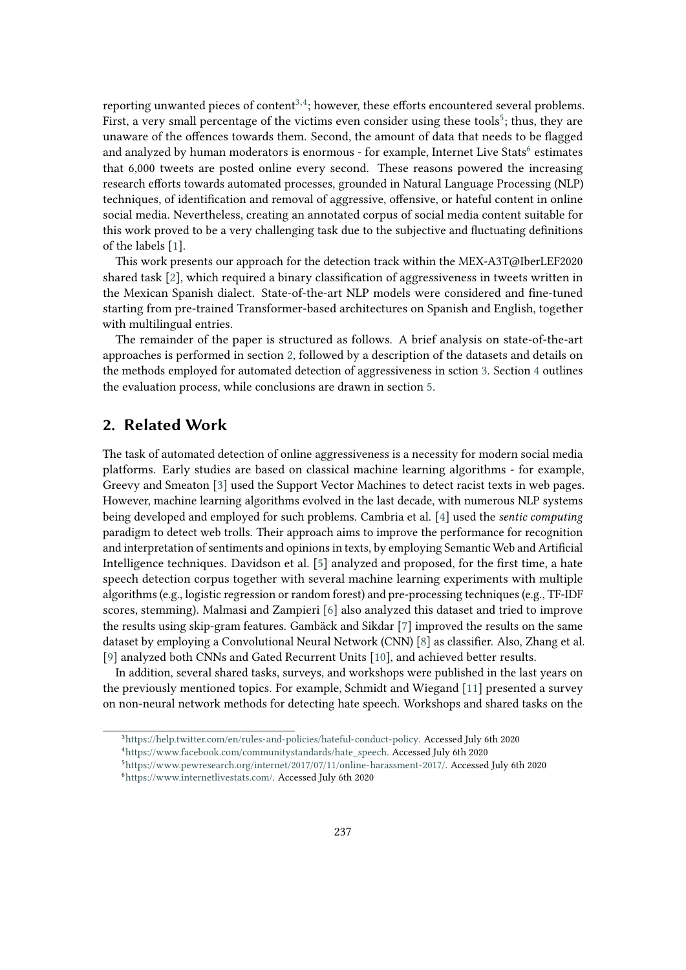reporting unwanted pieces of content $^{3,4}$  $^{3,4}$  $^{3,4}$  $^{3,4}$ ; however, these efforts encountered several problems. First, a very small percentage of the victims even consider using these tools $^5$  $^5$ ; thus, they are unaware of the offences towards them. Second, the amount of data that needs to be flagged and analyzed by human moderators is enormous - for example, Internet Live Stats $^6$  $^6$  estimates that 6,000 tweets are posted online every second. These reasons powered the increasing research efforts towards automated processes, grounded in Natural Language Processing (NLP) techniques, of identification and removal of aggressive, offensive, or hateful content in online social media. Nevertheless, creating an annotated corpus of social media content suitable for this work proved to be a very challenging task due to the subjective and fluctuating definitions of the labels [\[1\]](#page-6-0).

This work presents our approach for the detection track within the MEX-A3T@IberLEF2020 shared task [\[2\]](#page-6-1), which required a binary classification of aggressiveness in tweets written in the Mexican Spanish dialect. State-of-the-art NLP models were considered and fine-tuned starting from pre-trained Transformer-based architectures on Spanish and English, together with multilingual entries.

The remainder of the paper is structured as follows. A brief analysis on state-of-the-art approaches is performed in section [2,](#page-1-4) followed by a description of the datasets and details on the methods employed for automated detection of aggressiveness in sction [3.](#page-2-0) Section [4](#page-5-0) outlines the evaluation process, while conclusions are drawn in section [5.](#page-6-2)

# <span id="page-1-4"></span>**2. Related Work**

The task of automated detection of online aggressiveness is a necessity for modern social media platforms. Early studies are based on classical machine learning algorithms - for example, Greevy and Smeaton [\[3\]](#page-7-0) used the Support Vector Machines to detect racist texts in web pages. However, machine learning algorithms evolved in the last decade, with numerous NLP systems being developed and employed for such problems. Cambria et al. [\[4\]](#page-7-1) used the *sentic computing* paradigm to detect web trolls. Their approach aims to improve the performance for recognition and interpretation of sentiments and opinions in texts, by employing Semantic Web and Artificial Intelligence techniques. Davidson et al. [\[5\]](#page-7-2) analyzed and proposed, for the first time, a hate speech detection corpus together with several machine learning experiments with multiple algorithms (e.g., logistic regression or random forest) and pre-processing techniques (e.g., TF-IDF scores, stemming). Malmasi and Zampieri [\[6\]](#page-7-3) also analyzed this dataset and tried to improve the results using skip-gram features. Gambäck and Sikdar [\[7\]](#page-7-4) improved the results on the same dataset by employing a Convolutional Neural Network (CNN) [\[8\]](#page-7-5) as classifier. Also, Zhang et al. [\[9\]](#page-7-6) analyzed both CNNs and Gated Recurrent Units [\[10\]](#page-7-7), and achieved better results.

In addition, several shared tasks, surveys, and workshops were published in the last years on the previously mentioned topics. For example, Schmidt and Wiegand [\[11\]](#page-7-8) presented a survey on non-neural network methods for detecting hate speech. Workshops and shared tasks on the

<span id="page-1-0"></span><sup>3</sup>[https://help.twitter.com/en/rules-and-policies/hateful-conduct-policy.](https://help.twitter.com/en/rules-and-policies/hateful-conduct-policy) Accessed July 6th 2020

<span id="page-1-1"></span><sup>4</sup>[https://www.facebook.com/communitystandards/hate\\_speech.](https://www.facebook.com/communitystandards/hate_speech) Accessed July 6th 2020

<span id="page-1-3"></span><span id="page-1-2"></span><sup>5</sup>[https://www.pewresearch.org/internet/2017/07/11/online-harassment-2017/.](https://www.pewresearch.org/internet/2017/07/11/online-harassment-2017/) Accessed July 6th 2020 <sup>6</sup>[https://www.internetlivestats.com/.](https://www.internetlivestats.com/) Accessed July 6th 2020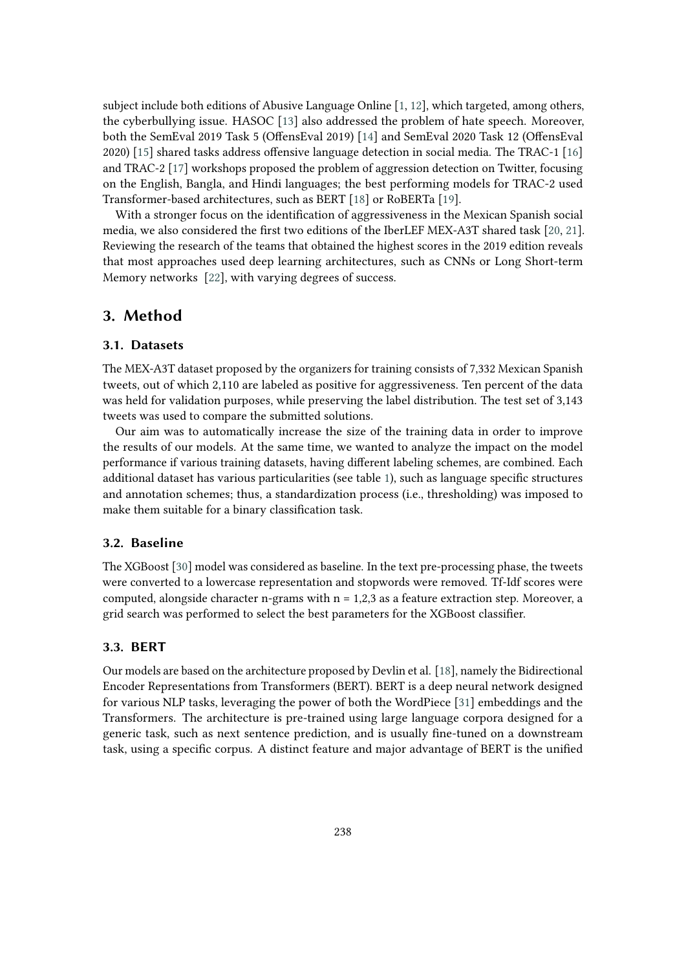subject include both editions of Abusive Language Online [\[1,](#page-6-0) [12\]](#page-7-9), which targeted, among others, the cyberbullying issue. HASOC [\[13\]](#page-7-10) also addressed the problem of hate speech. Moreover, both the SemEval 2019 Task 5 (OffensEval 2019) [\[14\]](#page-7-11) and SemEval 2020 Task 12 (OffensEval 2020) [\[15\]](#page-7-12) shared tasks address offensive language detection in social media. The TRAC-1 [\[16\]](#page-7-13) and TRAC-2 [\[17\]](#page-7-14) workshops proposed the problem of aggression detection on Twitter, focusing on the English, Bangla, and Hindi languages; the best performing models for TRAC-2 used Transformer-based architectures, such as BERT [\[18\]](#page-8-0) or RoBERTa [\[19\]](#page-8-1).

With a stronger focus on the identification of aggressiveness in the Mexican Spanish social media, we also considered the first two editions of the IberLEF MEX-A3T shared task [\[20,](#page-8-2) [21\]](#page-8-3). Reviewing the research of the teams that obtained the highest scores in the 2019 edition reveals that most approaches used deep learning architectures, such as CNNs or Long Short-term Memory networks [\[22\]](#page-8-4), with varying degrees of success.

#### <span id="page-2-0"></span>**3. Method**

#### <span id="page-2-1"></span>**3.1. Datasets**

The MEX-A3T dataset proposed by the organizers for training consists of 7,332 Mexican Spanish tweets, out of which 2,110 are labeled as positive for aggressiveness. Ten percent of the data was held for validation purposes, while preserving the label distribution. The test set of 3,143 tweets was used to compare the submitted solutions.

Our aim was to automatically increase the size of the training data in order to improve the results of our models. At the same time, we wanted to analyze the impact on the model performance if various training datasets, having different labeling schemes, are combined. Each additional dataset has various particularities (see table [1\)](#page-3-0), such as language specific structures and annotation schemes; thus, a standardization process (i.e., thresholding) was imposed to make them suitable for a binary classification task.

#### **3.2. Baseline**

The XGBoost [\[30\]](#page-8-5) model was considered as baseline. In the text pre-processing phase, the tweets were converted to a lowercase representation and stopwords were removed. Tf-Idf scores were computed, alongside character n-grams with  $n = 1,2,3$  as a feature extraction step. Moreover, a grid search was performed to select the best parameters for the XGBoost classifier.

#### **3.3. BERT**

Our models are based on the architecture proposed by Devlin et al. [\[18\]](#page-8-0), namely the Bidirectional Encoder Representations from Transformers (BERT). BERT is a deep neural network designed for various NLP tasks, leveraging the power of both the WordPiece [\[31\]](#page-8-6) embeddings and the Transformers. The architecture is pre-trained using large language corpora designed for a generic task, such as next sentence prediction, and is usually fine-tuned on a downstream task, using a specific corpus. A distinct feature and major advantage of BERT is the unified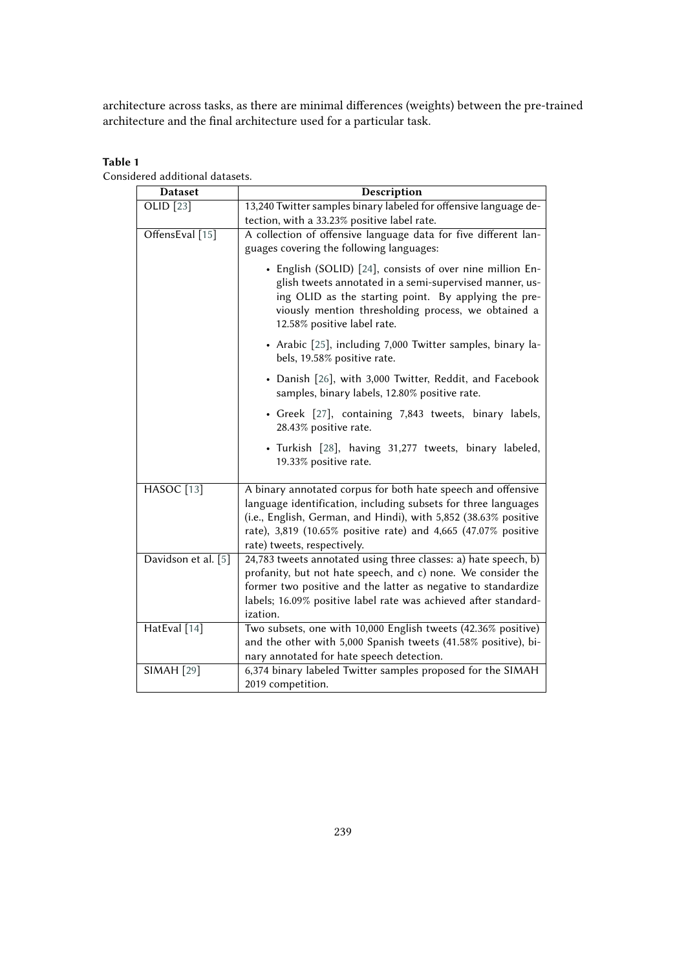architecture across tasks, as there are minimal differences (weights) between the pre-trained architecture and the final architecture used for a particular task.

#### **Table 1**

<span id="page-3-0"></span>Considered additional datasets.

| <b>Dataset</b>                 | Description                                                                                                                                                                                                                                                                                        |  |  |  |  |
|--------------------------------|----------------------------------------------------------------------------------------------------------------------------------------------------------------------------------------------------------------------------------------------------------------------------------------------------|--|--|--|--|
| OLID [23]                      | 13,240 Twitter samples binary labeled for offensive language de-<br>tection, with a 33.23% positive label rate.                                                                                                                                                                                    |  |  |  |  |
| OffensEval [15]                | A collection of offensive language data for five different lan-<br>guages covering the following languages:                                                                                                                                                                                        |  |  |  |  |
|                                | • English (SOLID) [24], consists of over nine million En-<br>glish tweets annotated in a semi-supervised manner, us-<br>ing OLID as the starting point. By applying the pre-<br>viously mention thresholding process, we obtained a<br>12.58% positive label rate.                                 |  |  |  |  |
|                                | • Arabic [25], including 7,000 Twitter samples, binary la-<br>bels, 19.58% positive rate.                                                                                                                                                                                                          |  |  |  |  |
|                                | • Danish [26], with 3,000 Twitter, Reddit, and Facebook<br>samples, binary labels, 12.80% positive rate.                                                                                                                                                                                           |  |  |  |  |
|                                | • Greek [27], containing 7,843 tweets, binary labels,<br>28.43% positive rate.                                                                                                                                                                                                                     |  |  |  |  |
|                                | · Turkish [28], having 31,277 tweets, binary labeled,<br>19.33% positive rate.                                                                                                                                                                                                                     |  |  |  |  |
| <b>HASOC</b> [13]              | A binary annotated corpus for both hate speech and offensive<br>language identification, including subsets for three languages<br>(i.e., English, German, and Hindi), with 5,852 (38.63% positive<br>rate), 3,819 (10.65% positive rate) and 4,665 (47.07% positive<br>rate) tweets, respectively. |  |  |  |  |
| Davidson et al. [5]            | 24,783 tweets annotated using three classes: a) hate speech, b)<br>profanity, but not hate speech, and c) none. We consider the<br>former two positive and the latter as negative to standardize<br>labels; 16.09% positive label rate was achieved after standard-<br>ization.                    |  |  |  |  |
| HatEval [14]                   | Two subsets, one with 10,000 English tweets (42.36% positive)<br>and the other with 5,000 Spanish tweets (41.58% positive), bi-<br>nary annotated for hate speech detection.                                                                                                                       |  |  |  |  |
| $\overline{\text{SIMAH}}$ [29] | 6,374 binary labeled Twitter samples proposed for the SIMAH<br>2019 competition.                                                                                                                                                                                                                   |  |  |  |  |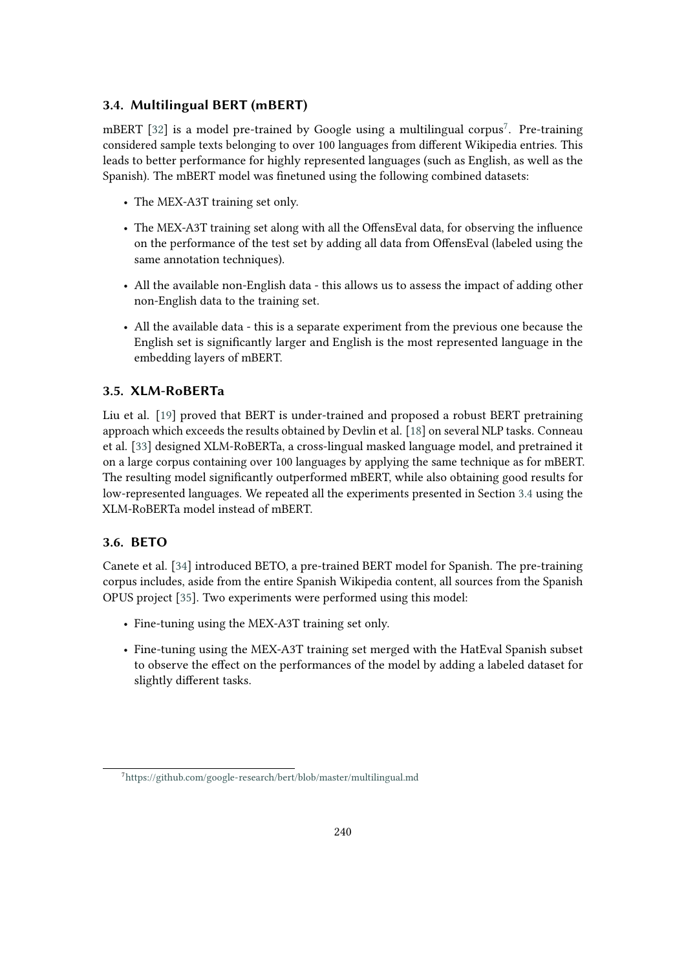## <span id="page-4-1"></span>**3.4. Multilingual BERT (mBERT)**

mBERT [\[32\]](#page-9-0) is a model pre-trained by Google using a multilingual corpus<sup>[7](#page-4-0)</sup>. Pre-training considered sample texts belonging to over 100 languages from different Wikipedia entries. This leads to better performance for highly represented languages (such as English, as well as the Spanish). The mBERT model was finetuned using the following combined datasets:

- The MEX-A3T training set only.
- The MEX-A3T training set along with all the OffensEval data, for observing the influence on the performance of the test set by adding all data from OffensEval (labeled using the same annotation techniques).
- All the available non-English data this allows us to assess the impact of adding other non-English data to the training set.
- All the available data this is a separate experiment from the previous one because the English set is significantly larger and English is the most represented language in the embedding layers of mBERT.

## **3.5. XLM-RoBERTa**

Liu et al. [\[19\]](#page-8-1) proved that BERT is under-trained and proposed a robust BERT pretraining approach which exceeds the results obtained by Devlin et al. [\[18\]](#page-8-0) on several NLP tasks. Conneau et al. [\[33\]](#page-9-1) designed XLM-RoBERTa, a cross-lingual masked language model, and pretrained it on a large corpus containing over 100 languages by applying the same technique as for mBERT. The resulting model significantly outperformed mBERT, while also obtaining good results for low-represented languages. We repeated all the experiments presented in Section [3.4](#page-4-1) using the XLM-RoBERTa model instead of mBERT.

## **3.6. BETO**

Canete et al. [\[34\]](#page-9-2) introduced BETO, a pre-trained BERT model for Spanish. The pre-training corpus includes, aside from the entire Spanish Wikipedia content, all sources from the Spanish OPUS project [\[35\]](#page-9-3). Two experiments were performed using this model:

- Fine-tuning using the MEX-A3T training set only.
- Fine-tuning using the MEX-A3T training set merged with the HatEval Spanish subset to observe the effect on the performances of the model by adding a labeled dataset for slightly different tasks.

<span id="page-4-0"></span><sup>7</sup><https://github.com/google-research/bert/blob/master/multilingual.md>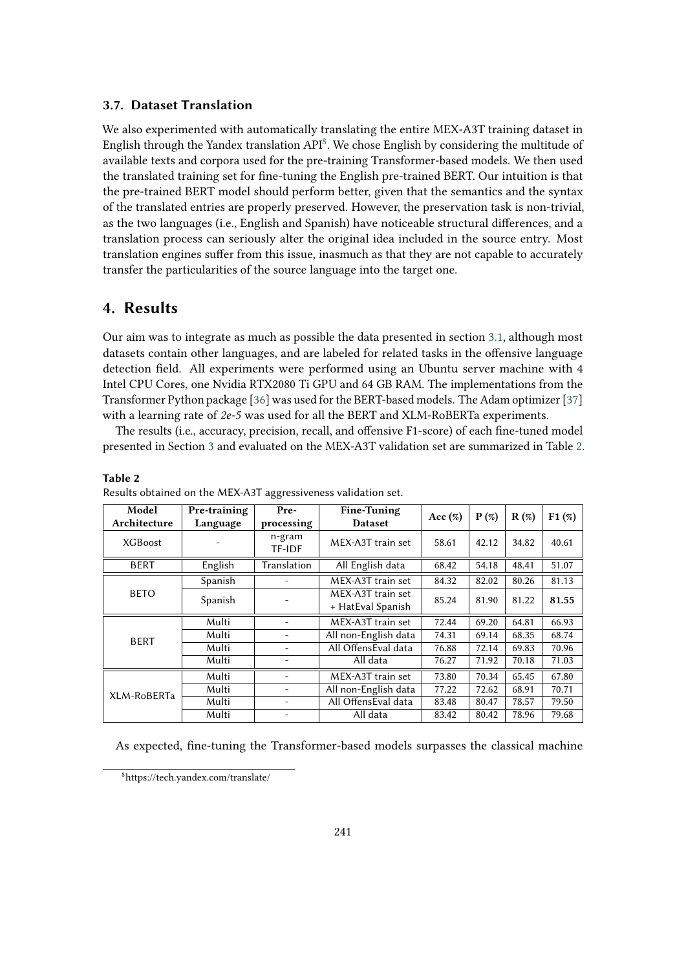#### **3.7. Dataset Translation**

We also experimented with automatically translating the entire MEX-A3T training dataset in English through the Yandex translation  $API^8$  $API^8$ . We chose English by considering the multitude of available texts and corpora used for the pre-training Transformer-based models. We then used the translated training set for fine-tuning the English pre-trained BERT. Our intuition is that the pre-trained BERT model should perform better, given that the semantics and the syntax of the translated entries are properly preserved. However, the preservation task is non-trivial, as the two languages (i.e., English and Spanish) have noticeable structural differences, and a translation process can seriously alter the original idea included in the source entry. Most translation engines suffer from this issue, inasmuch as that they are not capable to accurately transfer the particularities of the source language into the target one.

## <span id="page-5-0"></span>**4. Results**

**Table 2**

Our aim was to integrate as much as possible the data presented in section [3.1,](#page-2-1) although most datasets contain other languages, and are labeled for related tasks in the offensive language detection field. All experiments were performed using an Ubuntu server machine with 4 Intel CPU Cores, one Nvidia RTX2080 Ti GPU and 64 GB RAM. The implementations from the Transformer Python package [\[36\]](#page-9-4) was used for the BERT-based models. The Adam optimizer [\[37\]](#page-9-5) with a learning rate of *2e-5* was used for all the BERT and XLM-RoBERTa experiments.

The results (i.e., accuracy, precision, recall, and offensive F1-score) of each fine-tuned model presented in Section [3](#page-2-0) and evaluated on the MEX-A3T validation set are summarized in Table [2.](#page-5-2)

| Model<br>Architecture | Pre-training<br>Language | Pre-<br>processing | <b>Fine-Tuning</b><br><b>Dataset</b>   | Acc (%) | $P(\%)$ | $R(\%)$ | F1(%) |  |
|-----------------------|--------------------------|--------------------|----------------------------------------|---------|---------|---------|-------|--|
| <b>XGBoost</b>        |                          | n-gram<br>TF-IDF   | MEX-A3T train set                      | 58.61   | 42.12   | 34.82   | 40.61 |  |
| <b>BERT</b>           | English                  | Translation        | All English data                       | 68.42   | 54.18   | 48.41   | 51.07 |  |
| <b>BETO</b>           | Spanish                  |                    | MEX-A3T train set                      | 84.32   | 82.02   | 80.26   | 81.13 |  |
|                       | Spanish                  |                    | MEX-A3T train set<br>+ HatEval Spanish | 85.24   | 81.90   | 81.22   | 81.55 |  |
| <b>BERT</b>           | Multi                    |                    | MEX-A3T train set                      | 72.44   | 69.20   | 64.81   | 66.93 |  |
|                       | Multi                    |                    | All non-English data                   | 74.31   | 69.14   | 68.35   | 68.74 |  |
|                       | Multi                    |                    | All OffensEval data                    | 76.88   | 72.14   | 69.83   | 70.96 |  |
|                       | Multi                    |                    | All data                               | 76.27   | 71.92   | 70.18   | 71.03 |  |
| XLM-RoBERTa           | Multi                    |                    | MEX-A3T train set                      | 73.80   | 70.34   | 65.45   | 67.80 |  |
|                       | Multi                    |                    | All non-English data                   | 77.22   | 72.62   | 68.91   | 70.71 |  |
|                       | Multi                    |                    | All OffensEval data                    | 83.48   | 80.47   | 78.57   | 79.50 |  |
|                       | Multi                    |                    | All data                               | 83.42   | 80.42   | 78.96   | 79.68 |  |

<span id="page-5-2"></span>Results obtained on the MEX-A3T aggressiveness validation set.

As expected, fine-tuning the Transformer-based models surpasses the classical machine

<span id="page-5-1"></span><sup>8</sup>https://tech.yandex.com/translate/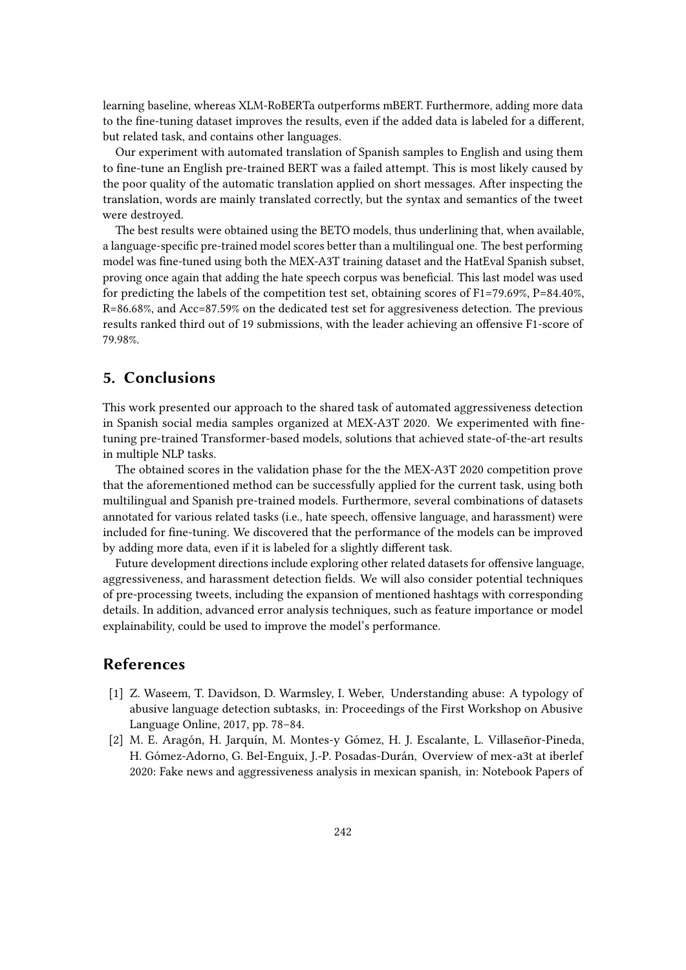learning baseline, whereas XLM-RoBERTa outperforms mBERT. Furthermore, adding more data to the fine-tuning dataset improves the results, even if the added data is labeled for a different, but related task, and contains other languages.

Our experiment with automated translation of Spanish samples to English and using them to fine-tune an English pre-trained BERT was a failed attempt. This is most likely caused by the poor quality of the automatic translation applied on short messages. After inspecting the translation, words are mainly translated correctly, but the syntax and semantics of the tweet were destroyed.

The best results were obtained using the BETO models, thus underlining that, when available, a language-specific pre-trained model scores better than a multilingual one. The best performing model was fine-tuned using both the MEX-A3T training dataset and the HatEval Spanish subset, proving once again that adding the hate speech corpus was beneficial. This last model was used for predicting the labels of the competition test set, obtaining scores of F1=79.69%, P=84.40%, R=86.68%, and Acc=87.59% on the dedicated test set for aggresiveness detection. The previous results ranked third out of 19 submissions, with the leader achieving an offensive F1-score of 79.98%.

## <span id="page-6-2"></span>**5. Conclusions**

This work presented our approach to the shared task of automated aggressiveness detection in Spanish social media samples organized at MEX-A3T 2020. We experimented with finetuning pre-trained Transformer-based models, solutions that achieved state-of-the-art results in multiple NLP tasks.

The obtained scores in the validation phase for the the MEX-A3T 2020 competition prove that the aforementioned method can be successfully applied for the current task, using both multilingual and Spanish pre-trained models. Furthermore, several combinations of datasets annotated for various related tasks (i.e., hate speech, offensive language, and harassment) were included for fine-tuning. We discovered that the performance of the models can be improved by adding more data, even if it is labeled for a slightly different task.

Future development directions include exploring other related datasets for offensive language, aggressiveness, and harassment detection fields. We will also consider potential techniques of pre-processing tweets, including the expansion of mentioned hashtags with corresponding details. In addition, advanced error analysis techniques, such as feature importance or model explainability, could be used to improve the model's performance.

## **References**

- <span id="page-6-0"></span>[1] Z. Waseem, T. Davidson, D. Warmsley, I. Weber, Understanding abuse: A typology of abusive language detection subtasks, in: Proceedings of the First Workshop on Abusive Language Online, 2017, pp. 78–84.
- <span id="page-6-1"></span>[2] M. E. Aragón, H. Jarquín, M. Montes-y Gómez, H. J. Escalante, L. Villaseñor-Pineda, H. Gómez-Adorno, G. Bel-Enguix, J.-P. Posadas-Durán, Overview of mex-a3t at iberlef 2020: Fake news and aggressiveness analysis in mexican spanish, in: Notebook Papers of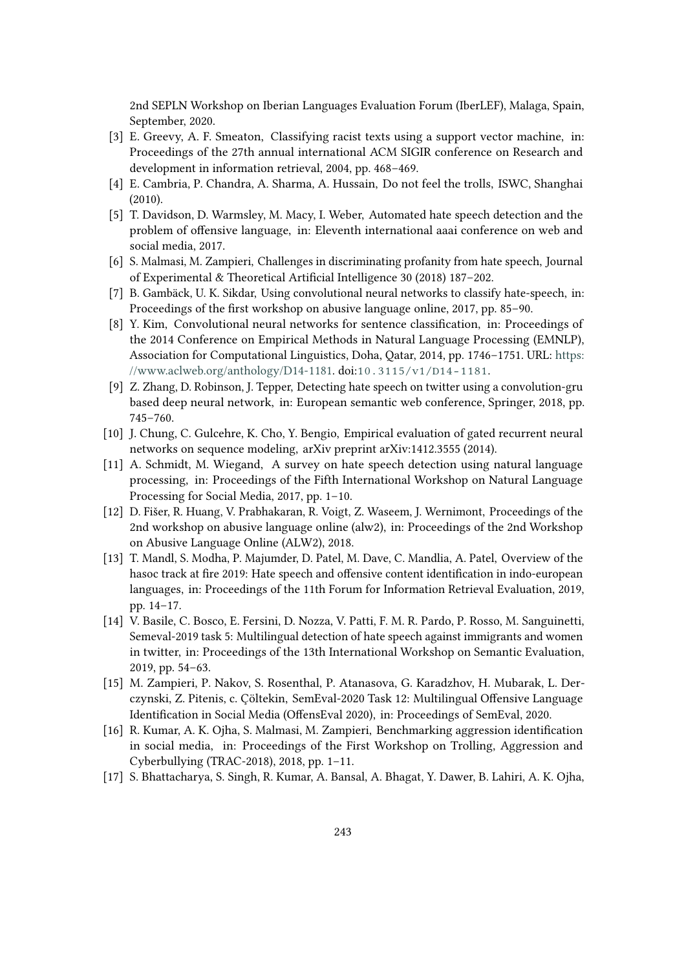2nd SEPLN Workshop on Iberian Languages Evaluation Forum (IberLEF), Malaga, Spain, September, 2020.

- <span id="page-7-0"></span>[3] E. Greevy, A. F. Smeaton, Classifying racist texts using a support vector machine, in: Proceedings of the 27th annual international ACM SIGIR conference on Research and development in information retrieval, 2004, pp. 468–469.
- <span id="page-7-1"></span>[4] E. Cambria, P. Chandra, A. Sharma, A. Hussain, Do not feel the trolls, ISWC, Shanghai (2010).
- <span id="page-7-2"></span>[5] T. Davidson, D. Warmsley, M. Macy, I. Weber, Automated hate speech detection and the problem of offensive language, in: Eleventh international aaai conference on web and social media, 2017.
- <span id="page-7-3"></span>[6] S. Malmasi, M. Zampieri, Challenges in discriminating profanity from hate speech, Journal of Experimental & Theoretical Artificial Intelligence 30 (2018) 187–202.
- <span id="page-7-4"></span>[7] B. Gambäck, U. K. Sikdar, Using convolutional neural networks to classify hate-speech, in: Proceedings of the first workshop on abusive language online, 2017, pp. 85–90.
- <span id="page-7-5"></span>[8] Y. Kim, Convolutional neural networks for sentence classification, in: Proceedings of the 2014 Conference on Empirical Methods in Natural Language Processing (EMNLP), Association for Computational Linguistics, Doha, Qatar, 2014, pp. 1746–1751. URL: [https:](https://www.aclweb.org/anthology/D14-1181) [//www.aclweb.org/anthology/D14-1181.](https://www.aclweb.org/anthology/D14-1181) doi:[10.3115/v1/D14-1181](http://dx.doi.org/10.3115/v1/D14-1181).
- <span id="page-7-6"></span>[9] Z. Zhang, D. Robinson, J. Tepper, Detecting hate speech on twitter using a convolution-gru based deep neural network, in: European semantic web conference, Springer, 2018, pp. 745–760.
- <span id="page-7-7"></span>[10] J. Chung, C. Gulcehre, K. Cho, Y. Bengio, Empirical evaluation of gated recurrent neural networks on sequence modeling, arXiv preprint arXiv:1412.3555 (2014).
- <span id="page-7-8"></span>[11] A. Schmidt, M. Wiegand, A survey on hate speech detection using natural language processing, in: Proceedings of the Fifth International Workshop on Natural Language Processing for Social Media, 2017, pp. 1–10.
- <span id="page-7-9"></span>[12] D. Fišer, R. Huang, V. Prabhakaran, R. Voigt, Z. Waseem, J. Wernimont, Proceedings of the 2nd workshop on abusive language online (alw2), in: Proceedings of the 2nd Workshop on Abusive Language Online (ALW2), 2018.
- <span id="page-7-10"></span>[13] T. Mandl, S. Modha, P. Majumder, D. Patel, M. Dave, C. Mandlia, A. Patel, Overview of the hasoc track at fire 2019: Hate speech and offensive content identification in indo-european languages, in: Proceedings of the 11th Forum for Information Retrieval Evaluation, 2019, pp. 14–17.
- <span id="page-7-11"></span>[14] V. Basile, C. Bosco, E. Fersini, D. Nozza, V. Patti, F. M. R. Pardo, P. Rosso, M. Sanguinetti, Semeval-2019 task 5: Multilingual detection of hate speech against immigrants and women in twitter, in: Proceedings of the 13th International Workshop on Semantic Evaluation, 2019, pp. 54–63.
- <span id="page-7-12"></span>[15] M. Zampieri, P. Nakov, S. Rosenthal, P. Atanasova, G. Karadzhov, H. Mubarak, L. Derczynski, Z. Pitenis, c. Çöltekin, SemEval-2020 Task 12: Multilingual Offensive Language Identification in Social Media (OffensEval 2020), in: Proceedings of SemEval, 2020.
- <span id="page-7-13"></span>[16] R. Kumar, A. K. Ojha, S. Malmasi, M. Zampieri, Benchmarking aggression identification in social media, in: Proceedings of the First Workshop on Trolling, Aggression and Cyberbullying (TRAC-2018), 2018, pp. 1–11.
- <span id="page-7-14"></span>[17] S. Bhattacharya, S. Singh, R. Kumar, A. Bansal, A. Bhagat, Y. Dawer, B. Lahiri, A. K. Ojha,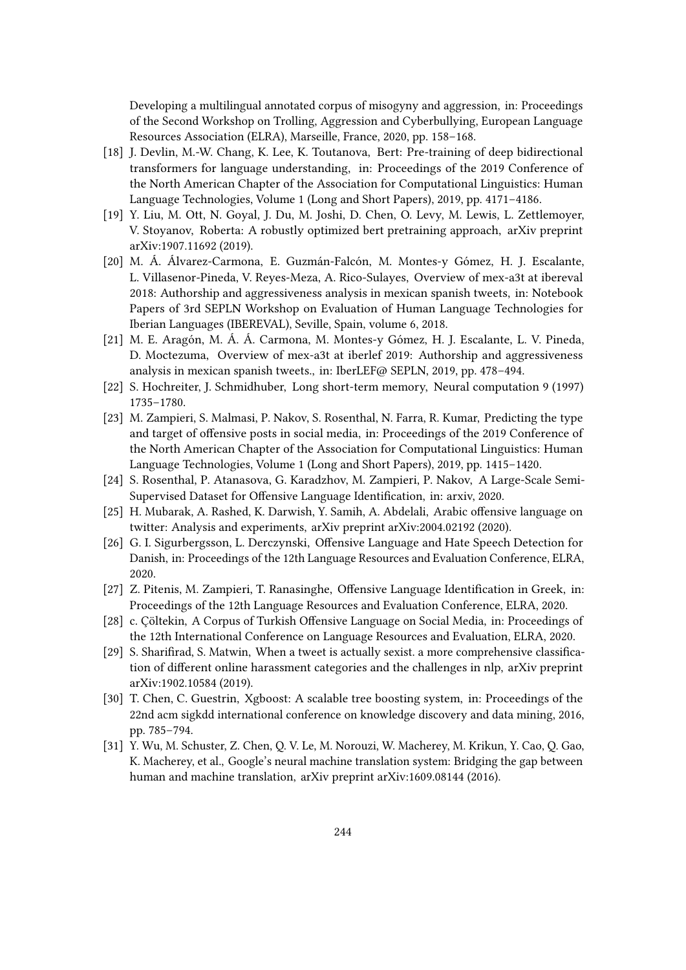Developing a multilingual annotated corpus of misogyny and aggression, in: Proceedings of the Second Workshop on Trolling, Aggression and Cyberbullying, European Language Resources Association (ELRA), Marseille, France, 2020, pp. 158–168.

- <span id="page-8-0"></span>[18] J. Devlin, M.-W. Chang, K. Lee, K. Toutanova, Bert: Pre-training of deep bidirectional transformers for language understanding, in: Proceedings of the 2019 Conference of the North American Chapter of the Association for Computational Linguistics: Human Language Technologies, Volume 1 (Long and Short Papers), 2019, pp. 4171–4186.
- <span id="page-8-1"></span>[19] Y. Liu, M. Ott, N. Goyal, J. Du, M. Joshi, D. Chen, O. Levy, M. Lewis, L. Zettlemoyer, V. Stoyanov, Roberta: A robustly optimized bert pretraining approach, arXiv preprint arXiv:1907.11692 (2019).
- <span id="page-8-2"></span>[20] M. Á. Álvarez-Carmona, E. Guzmán-Falcón, M. Montes-y Gómez, H. J. Escalante, L. Villasenor-Pineda, V. Reyes-Meza, A. Rico-Sulayes, Overview of mex-a3t at ibereval 2018: Authorship and aggressiveness analysis in mexican spanish tweets, in: Notebook Papers of 3rd SEPLN Workshop on Evaluation of Human Language Technologies for Iberian Languages (IBEREVAL), Seville, Spain, volume 6, 2018.
- <span id="page-8-3"></span>[21] M. E. Aragón, M. Á. Á. Carmona, M. Montes-y Gómez, H. J. Escalante, L. V. Pineda, D. Moctezuma, Overview of mex-a3t at iberlef 2019: Authorship and aggressiveness analysis in mexican spanish tweets., in: IberLEF@ SEPLN, 2019, pp. 478–494.
- <span id="page-8-4"></span>[22] S. Hochreiter, J. Schmidhuber, Long short-term memory, Neural computation 9 (1997) 1735–1780.
- <span id="page-8-7"></span>[23] M. Zampieri, S. Malmasi, P. Nakov, S. Rosenthal, N. Farra, R. Kumar, Predicting the type and target of offensive posts in social media, in: Proceedings of the 2019 Conference of the North American Chapter of the Association for Computational Linguistics: Human Language Technologies, Volume 1 (Long and Short Papers), 2019, pp. 1415–1420.
- <span id="page-8-8"></span>[24] S. Rosenthal, P. Atanasova, G. Karadzhov, M. Zampieri, P. Nakov, A Large-Scale Semi-Supervised Dataset for Offensive Language Identification, in: arxiv, 2020.
- <span id="page-8-9"></span>[25] H. Mubarak, A. Rashed, K. Darwish, Y. Samih, A. Abdelali, Arabic offensive language on twitter: Analysis and experiments, arXiv preprint arXiv:2004.02192 (2020).
- <span id="page-8-10"></span>[26] G. I. Sigurbergsson, L. Derczynski, Offensive Language and Hate Speech Detection for Danish, in: Proceedings of the 12th Language Resources and Evaluation Conference, ELRA, 2020.
- <span id="page-8-11"></span>[27] Z. Pitenis, M. Zampieri, T. Ranasinghe, Offensive Language Identification in Greek, in: Proceedings of the 12th Language Resources and Evaluation Conference, ELRA, 2020.
- <span id="page-8-12"></span>[28] c. Çöltekin, A Corpus of Turkish Offensive Language on Social Media, in: Proceedings of the 12th International Conference on Language Resources and Evaluation, ELRA, 2020.
- <span id="page-8-13"></span>[29] S. Sharifirad, S. Matwin, When a tweet is actually sexist. a more comprehensive classification of different online harassment categories and the challenges in nlp, arXiv preprint arXiv:1902.10584 (2019).
- <span id="page-8-5"></span>[30] T. Chen, C. Guestrin, Xgboost: A scalable tree boosting system, in: Proceedings of the 22nd acm sigkdd international conference on knowledge discovery and data mining, 2016, pp. 785–794.
- <span id="page-8-6"></span>[31] Y. Wu, M. Schuster, Z. Chen, Q. V. Le, M. Norouzi, W. Macherey, M. Krikun, Y. Cao, Q. Gao, K. Macherey, et al., Google's neural machine translation system: Bridging the gap between human and machine translation, arXiv preprint arXiv:1609.08144 (2016).